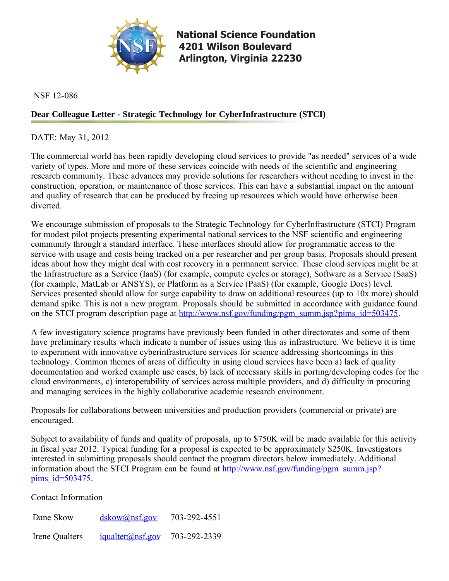

**[National Science Foundation](http://www.nsf.gov/index.jsp) 4201 Wilson Boulevard Arlington, Virginia 22230** 

NSF 12-086

## **Dear Colleague Letter - Strategic Technology for CyberInfrastructure (STCI)**

DATE: May 31, 2012

The commercial world has been rapidly developing cloud services to provide "as needed" services of a wide variety of types. More and more of these services coincide with needs of the scientific and engineering research community. These advances may provide solutions for researchers without needing to invest in the construction, operation, or maintenance of those services. This can have a substantial impact on the amount and quality of research that can be produced by freeing up resources which would have otherwise been diverted.

We encourage submission of proposals to the Strategic Technology for CyberInfrastructure (STCI) Program for modest pilot projects presenting experimental national services to the NSF scientific and engineering community through a standard interface. These interfaces should allow for programmatic access to the service with usage and costs being tracked on a per researcher and per group basis. Proposals should present ideas about how they might deal with cost recovery in a permanent service. These cloud services might be at the Infrastructure as a Service (IaaS) (for example, compute cycles or storage), Software as a Service (SaaS) (for example, MatLab or ANSYS), or Platform as a Service (PaaS) (for example, Google Docs) level. Services presented should allow for surge capability to draw on additional resources (up to 10x more) should demand spike. This is not a new program. Proposals should be submitted in accordance with guidance found on the STCI program description page at [http://www.nsf.gov/funding/pgm\\_summ.jsp?pims\\_id=503475](http://www.nsf.gov/funding/pgm_summ.jsp?pims_id=503475).

A few investigatory science programs have previously been funded in other directorates and some of them have preliminary results which indicate a number of issues using this as infrastructure. We believe it is time to experiment with innovative cyberinfrastructure services for science addressing shortcomings in this technology. Common themes of areas of difficulty in using cloud services have been a) lack of quality documentation and worked example use cases, b) lack of necessary skills in porting/developing codes for the cloud environments, c) interoperability of services across multiple providers, and d) difficulty in procuring and managing services in the highly collaborative academic research environment.

Proposals for collaborations between universities and production providers (commercial or private) are encouraged.

Subject to availability of funds and quality of proposals, up to \$750K will be made available for this activity in fiscal year 2012. Typical funding for a proposal is expected to be approximately \$250K. Investigators interested in submitting proposals should contact the program directors below immediately. Additional information about the STCI Program can be found at [http://www.nsf.gov/funding/pgm\\_summ.jsp?](http://www.nsf.gov/funding/pgm_summ.jsp?pims_id=503475) pims  $id=503475$ .

Contact Information

Dane Skow Irene Qualters [dskow@nsf.gov](mailto:dskow@nsf.gov) [iqualter@nsf.gov](mailto:iqualter@nsf.gov) 703-292-4551 703-292-2339